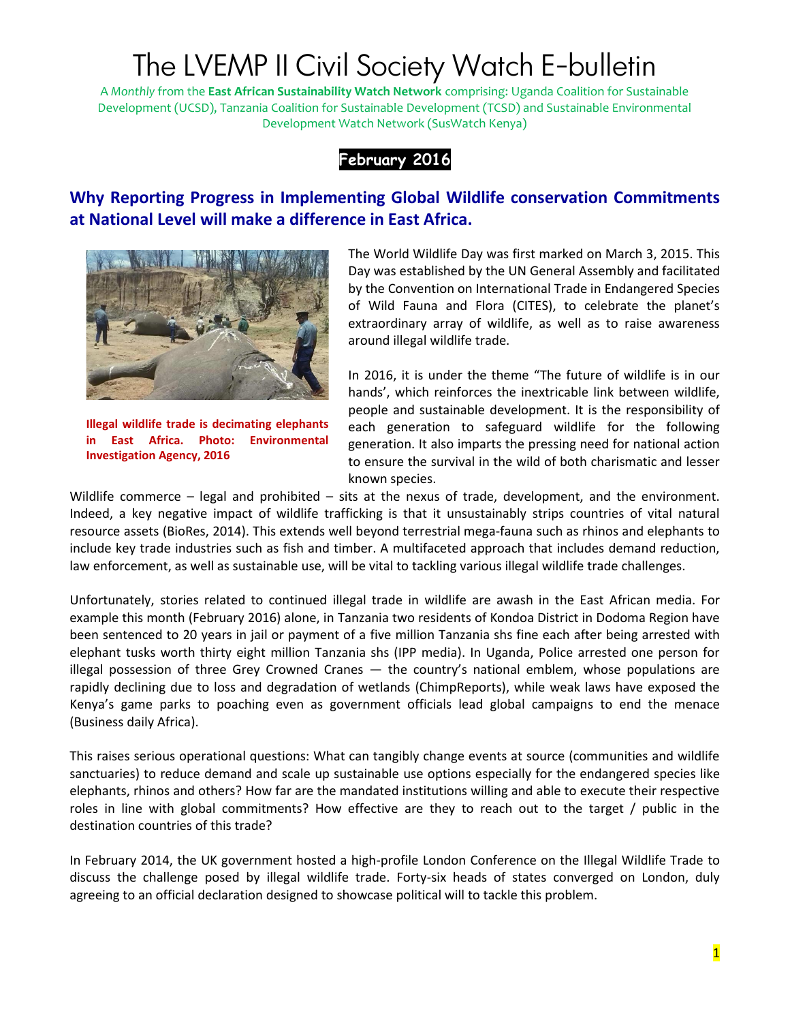# The LVEMP II Civil Society Watch E-bulletin

A *Monthly* from the **East African Sustainability Watch Network** comprising: Uganda Coalition for Sustainable Development (UCSD), Tanzania Coalition for Sustainable Development (TCSD) and Sustainable Environmental Development Watch Network (SusWatch Kenya)



### **Why Reporting Progress in Implementing Global Wildlife conservation Commitments at National Level will make a difference in East Africa.**



**Illegal wildlife trade is decimating elephants in East Africa. Photo: Environmental Investigation Agency, 2016**

The World Wildlife Day was first marked on March 3, 2015. This Day was established by the UN General Assembly and facilitated by the Convention on International Trade in Endangered Species of Wild Fauna and Flora (CITES), to celebrate the planet's extraordinary array of wildlife, as well as to raise awareness around illegal wildlife trade.

In 2016, it is under the theme "The future of wildlife is in our hands', which reinforces the inextricable link between wildlife, people and sustainable development. It is the responsibility of each generation to safeguard wildlife for the following generation. It also imparts the pressing need for national action to ensure the survival in the wild of both charismatic and lesser known species.

Wildlife commerce – legal and prohibited – sits at the nexus of trade, development, and the environment. Indeed, a key negative impact of wildlife trafficking is that it unsustainably strips countries of vital natural resource assets (BioRes, 2014). This extends well beyond terrestrial mega-fauna such as rhinos and elephants to include key trade industries such as fish and timber. A multifaceted approach that includes demand reduction, law enforcement, as well as sustainable use, will be vital to tackling various illegal wildlife trade challenges.

Unfortunately, stories related to continued illegal trade in wildlife are awash in the East African media. For example this month (February 2016) alone, in Tanzania two residents of Kondoa District in Dodoma Region have been sentenced to 20 years in jail or payment of a five million Tanzania shs fine each after being arrested with elephant tusks worth thirty eight million Tanzania shs (IPP media). In Uganda, Police arrested one person for illegal possession of three Grey Crowned Cranes — the country's national emblem, whose populations are rapidly declining due to loss and degradation of wetlands (ChimpReports), while weak laws have exposed the Kenya's game parks to poaching even as government officials lead global campaigns to end the menace (Business daily Africa).

This raises serious operational questions: What can tangibly change events at source (communities and wildlife sanctuaries) to reduce demand and scale up sustainable use options especially for the endangered species like elephants, rhinos and others? How far are the mandated institutions willing and able to execute their respective roles in line with global commitments? How effective are they to reach out to the target / public in the destination countries of this trade?

In February 2014, the UK government hosted a high-profile London Conference on the Illegal Wildlife Trade to discuss the challenge posed by illegal wildlife trade. Forty-six heads of states converged on London, duly agreeing to an official declaration designed to showcase political will to tackle this problem.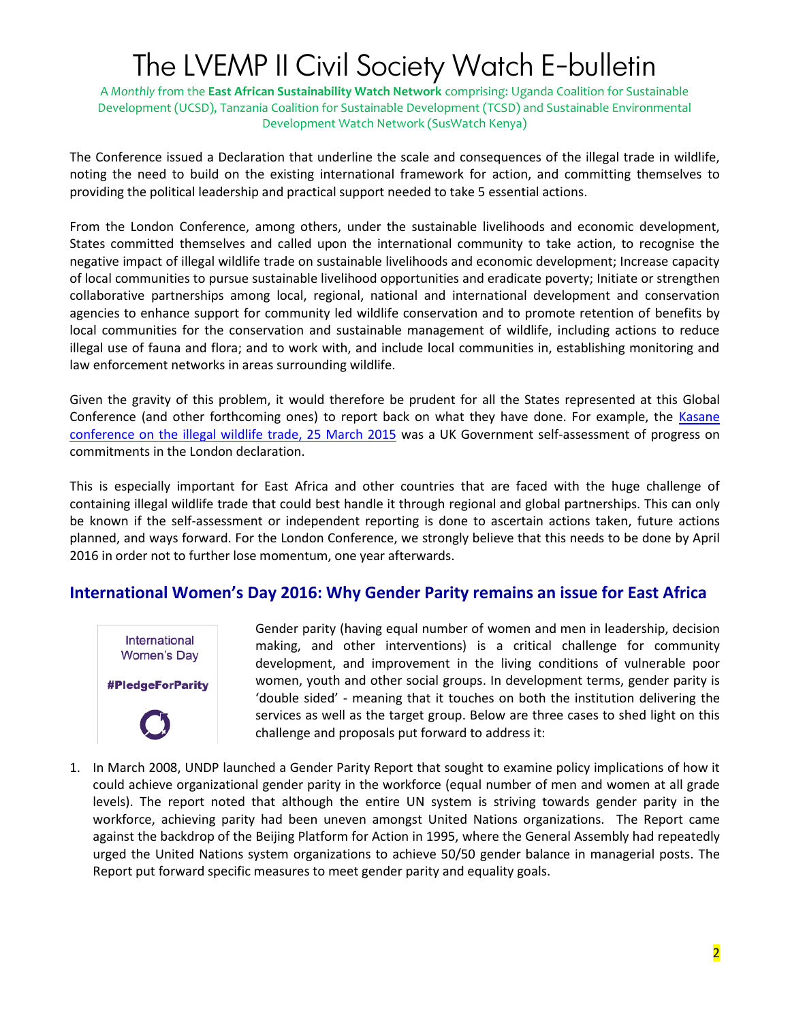## The LVEMP II Civil Society Watch E-bulletin

A *Monthly* from the **East African Sustainability Watch Network** comprising: Uganda Coalition for Sustainable Development (UCSD), Tanzania Coalition for Sustainable Development (TCSD) and Sustainable Environmental Development Watch Network (SusWatch Kenya)

The Conference issued a Declaration that underline the scale and consequences of the illegal trade in wildlife, noting the need to build on the existing international framework for action, and committing themselves to providing the political leadership and practical support needed to take 5 essential actions.

From the London Conference, among others, under the sustainable livelihoods and economic development, States committed themselves and called upon the international community to take action, to recognise the negative impact of illegal wildlife trade on sustainable livelihoods and economic development; Increase capacity of local communities to pursue sustainable livelihood opportunities and eradicate poverty; Initiate or strengthen collaborative partnerships among local, regional, national and international development and conservation agencies to enhance support for community led wildlife conservation and to promote retention of benefits by local communities for the conservation and sustainable management of wildlife, including actions to reduce illegal use of fauna and flora; and to work with, and include local communities in, establishing monitoring and law enforcement networks in areas surrounding wildlife.

Given the gravity of this problem, it would therefore be prudent for all the States represented at this Global Conference (and other forthcoming ones) to report back on what they have done. For example, the Kasane [conference on the illegal wildlife trade, 25 March 2015](https://www.gov.uk/government/uploads/system/uploads/attachment_data/file/415559/uk-progress-report-iwt.pdf) was a UK Government self-assessment of progress on commitments in the London declaration.

This is especially important for East Africa and other countries that are faced with the huge challenge of containing illegal wildlife trade that could best handle it through regional and global partnerships. This can only be known if the self-assessment or independent reporting is done to ascertain actions taken, future actions planned, and ways forward. For the London Conference, we strongly believe that this needs to be done by April 2016 in order not to further lose momentum, one year afterwards.

#### **International Women's Day 2016: Why Gender Parity remains an issue for East Africa**



Gender parity (having equal number of women and men in leadership, decision making, and other interventions) is a critical challenge for community development, and improvement in the living conditions of vulnerable poor women, youth and other social groups. In development terms, gender parity is 'double sided' - meaning that it touches on both the institution delivering the services as well as the target group. Below are three cases to shed light on this challenge and proposals put forward to address it:

1. In March 2008, UNDP launched a Gender Parity Report that sought to examine policy implications of how it could achieve organizational gender parity in the workforce (equal number of men and women at all grade levels). The report noted that although the entire UN system is striving towards gender parity in the workforce, achieving parity had been uneven amongst United Nations organizations. The Report came against the backdrop of the Beijing Platform for Action in 1995, where the General Assembly had repeatedly urged the United Nations system organizations to achieve 50/50 gender balance in managerial posts. The Report put forward specific measures to meet gender parity and equality goals.